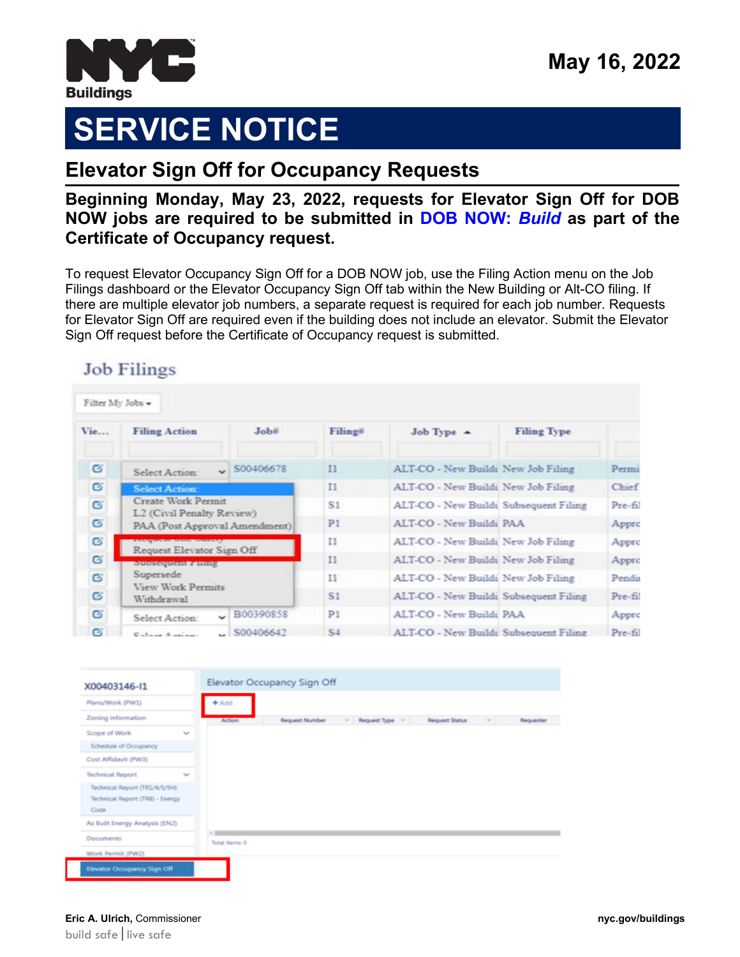

## **SERVICE NOTICE**

## **Elevator Sign Off for Occupancy Requests**

## **Beginning Monday, May 23, 2022, requests for Elevator Sign Off for DOB NOW jobs are required to be submitted in [DOB NOW:](http://www.nyc.gov/dobnow)** *Build* **as part of the Certificate of Occupancy request.**

To request Elevator Occupancy Sign Off for a DOB NOW job, use the Filing Action menu on the Job Filings dashboard or the Elevator Occupancy Sign Off tab within the New Building or Alt-CO filing. If there are multiple elevator job numbers, a separate request is required for each job number. Requests for Elevator Sign Off are required even if the building does not include an elevator. Submit the Elevator Sign Off request before the Certificate of Occupancy request is submitted.

| Filter My Jobs - |                                                            |           |             |                                       |                    |          |
|------------------|------------------------------------------------------------|-----------|-------------|---------------------------------------|--------------------|----------|
| Vie              | <b>Filing Action</b>                                       | Job#      | Filing#     | Job Type $\triangle$                  | <b>Filing Type</b> |          |
| G                | Select Action:                                             | S00406678 | $_{\rm II}$ | ALT-CO - New Buildi New Job Filing    |                    | Permi    |
| $\alpha$         | <b>Select Action:</b>                                      |           | $^{11}$     | ALT-CO - New Buildi New Job Filing    |                    | Chief    |
| G                | Create Work Permit                                         |           | S1          | ALT-CO - New Buildi Subsequent Filing |                    | $Pre-f1$ |
| ø                | L2 (Civil Penalty Review)<br>PAA (Post Approval Amendment) |           | P1          | ALT-CO - New Buildi PAA               |                    | Appre    |
| G                | <b>Except Control Modern Control Control</b>               |           | 11          | ALT-CO - New Buildi New Job Filing    |                    | Apprc    |
| B                | Request Elevator Sign Off<br><b>NUMBER OF STREET</b>       |           | $^{11}$     | ALT-CO - New Buildi New Job Filing    |                    | Appre    |
| B                | Supersede                                                  |           | H           | ALT-CO - New Buildi New Job Filing    |                    | Pendir   |
| ø                | View Work Permits<br>Withdrawal                            |           | S1          | ALT-CO - New Buildi Subsequent Filing |                    | Pre-fil  |
| σ                | Select Action:                                             | B00390858 | P1          | ALT-CO - New Buildi PAA               |                    | Appre    |
| σ                | Cataon Association                                         | S00406642 | <b>S4</b>   | ALT-CO - New Buildi Subsequent Filing |                    | Pre-fil  |

## **Job Filings**



build safe|live safe